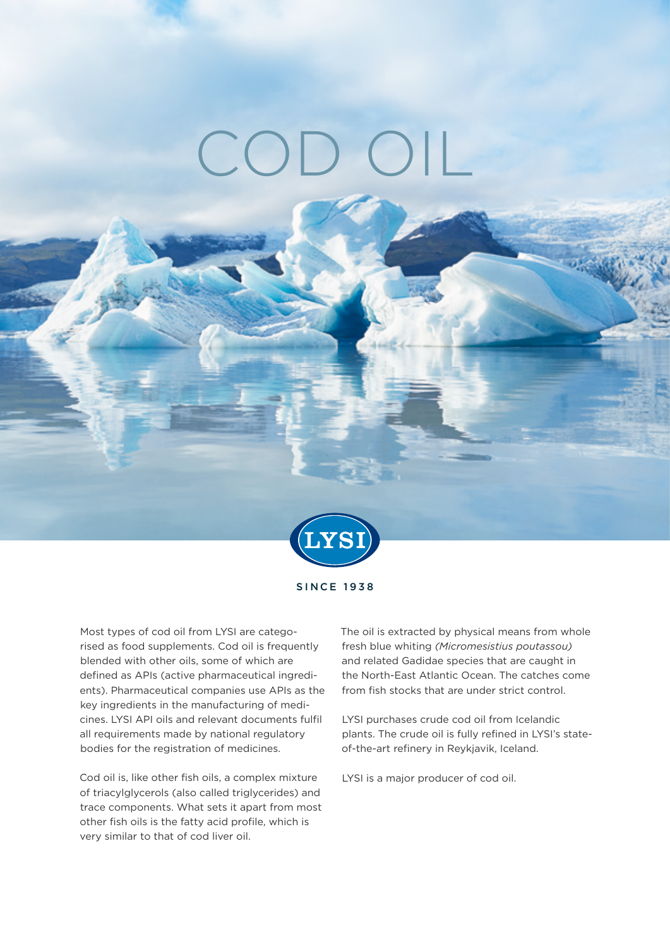# $C()$



SINCE 1938

Most types of cod oil from LYSI are categorised as food supplements. Cod oil is frequently blended with other oils, some of which are defined as APIs (active pharmaceutical ingredients). Pharmaceutical companies use APIs as the key ingredients in the manufacturing of medicines. LYSI API oils and relevant documents fulfil all requirements made by national regulatory bodies for the registration of medicines.

Cod oil is, like other fish oils, a complex mixture of triacylglycerols (also called triglycerides) and trace components. What sets it apart from most other fish oils is the fatty acid profile, which is very similar to that of cod liver oil.

The oil is extracted by physical means from whole fresh blue whiting *(Micromesistius poutassou)* and related Gadidae species that are caught in the North-East Atlantic Ocean. The catches come from fish stocks that are under strict control.

LYSI purchases crude cod oil from Icelandic plants. The crude oil is fully refined in LYSI's stateof-the-art refinery in Reykjavik, Iceland.

LYSI is a major producer of cod oil.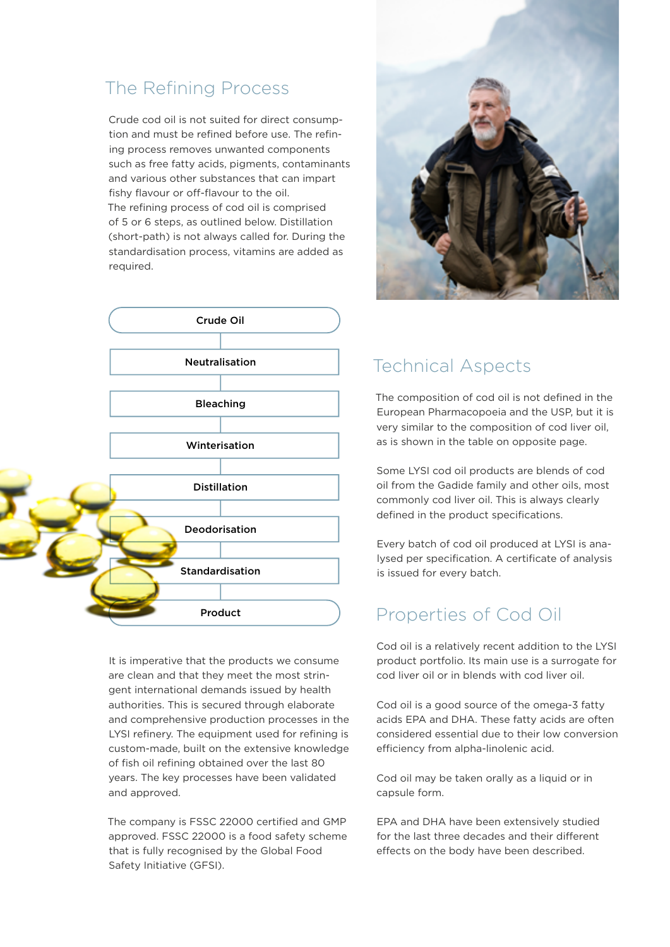## The Refining Process

Crude cod oil is not suited for direct consumption and must be refined before use. The refining process removes unwanted components such as free fatty acids, pigments, contaminants and various other substances that can impart fishy flavour or off-flavour to the oil. The refining process of cod oil is comprised of 5 or 6 steps, as outlined below. Distillation (short-path) is not always called for. During the standardisation process, vitamins are added as required.



It is imperative that the products we consume are clean and that they meet the most stringent international demands issued by health authorities. This is secured through elaborate and comprehensive production processes in the LYSI refinery. The equipment used for refining is custom-made, built on the extensive knowledge of fish oil refining obtained over the last 80 years. The key processes have been validated and approved.

The company is FSSC 22000 certified and GMP approved. FSSC 22000 is a food safety scheme that is fully recognised by the Global Food Safety Initiative (GFSI).



# Technical Aspects

The composition of cod oil is not defined in the European Pharmacopoeia and the USP, but it is very similar to the composition of cod liver oil, as is shown in the table on opposite page.

Some LYSI cod oil products are blends of cod oil from the Gadide family and other oils, most commonly cod liver oil. This is always clearly defined in the product specifications.

Every batch of cod oil produced at LYSI is analysed per specification. A certificate of analysis is issued for every batch.

### Properties of Cod Oil

Cod oil is a relatively recent addition to the LYSI product portfolio. Its main use is a surrogate for cod liver oil or in blends with cod liver oil.

Cod oil is a good source of the omega-3 fatty acids EPA and DHA. These fatty acids are often considered essential due to their low conversion efficiency from alpha-linolenic acid.

Cod oil may be taken orally as a liquid or in capsule form.

EPA and DHA have been extensively studied for the last three decades and their different effects on the body have been described.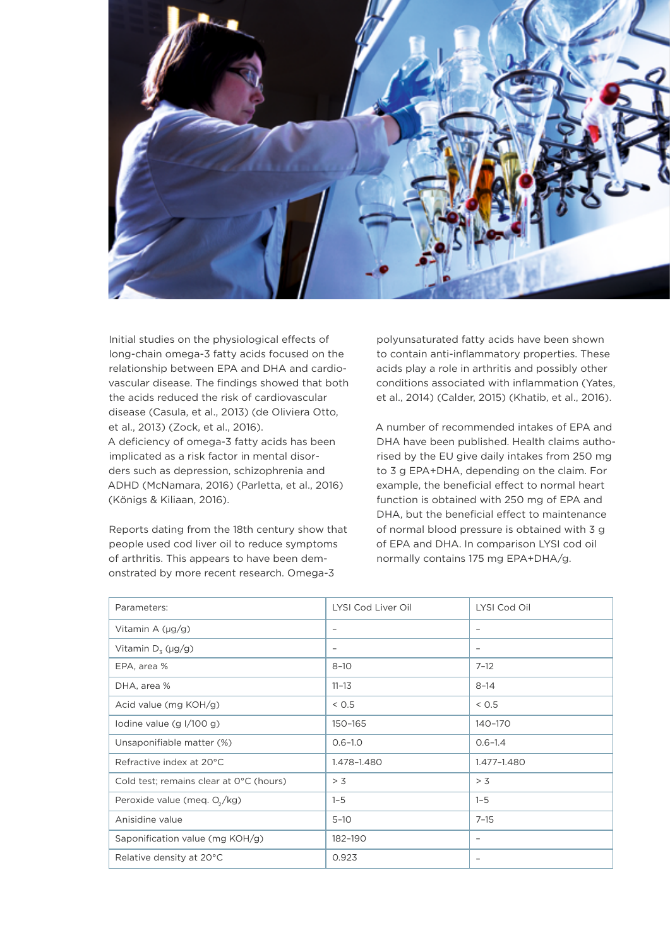

Initial studies on the physiological effects of long-chain omega-3 fatty acids focused on the relationship between EPA and DHA and cardiovascular disease. The findings showed that both the acids reduced the risk of cardiovascular disease (Casula, et al., 2013) (de Oliviera Otto, et al., 2013) (Zock, et al., 2016). A deficiency of omega-3 fatty acids has been implicated as a risk factor in mental disorders such as depression, schizophrenia and ADHD (McNamara, 2016) (Parletta, et al., 2016) (Königs & Kiliaan, 2016).

Reports dating from the 18th century show that people used cod liver oil to reduce symptoms of arthritis. This appears to have been demonstrated by more recent research. Omega-3

polyunsaturated fatty acids have been shown to contain anti-inflammatory properties. These acids play a role in arthritis and possibly other conditions associated with inflammation (Yates, et al., 2014) (Calder, 2015) (Khatib, et al., 2016).

A number of recommended intakes of EPA and DHA have been published. Health claims authorised by the EU give daily intakes from 250 mg to 3 g EPA+DHA, depending on the claim. For example, the beneficial effect to normal heart function is obtained with 250 mg of EPA and DHA, but the beneficial effect to maintenance of normal blood pressure is obtained with 3 g of EPA and DHA. In comparison LYSI cod oil normally contains 175 mg EPA+DHA/g.

| Parameters:                             | LYSI Cod Liver Oil       | LYSI Cod Oil             |
|-----------------------------------------|--------------------------|--------------------------|
| Vitamin A $(\mu g/g)$                   | $\overline{\phantom{m}}$ | $\qquad \qquad -$        |
| Vitamin $D_3$ (µg/g)                    | $\overline{\phantom{m}}$ | $\overline{\phantom{m}}$ |
| EPA, area %                             | $8 - 10$                 | $7 - 12$                 |
| DHA, area %                             | $11 - 13$                | $8 - 14$                 |
| Acid value (mg KOH/g)                   | < 0.5                    | < 0.5                    |
| lodine value $(g \frac{1}{100} g)$      | 150-165                  | 140-170                  |
| Unsaponifiable matter (%)               | $0.6 - 1.0$              | $0.6 - 1.4$              |
| Refractive index at 20°C                | 1.478-1.480              | 1.477-1.480              |
| Cold test; remains clear at 0°C (hours) | > 3                      | > 3                      |
| Peroxide value (meq. $O_2/kg$ )         | $1 - 5$                  | $1 - 5$                  |
| Anisidine value                         | $5 - 10$                 | $7 - 15$                 |
| Saponification value (mg KOH/g)         | 182-190                  | $\qquad \qquad -$        |
| Relative density at 20°C                | 0.923                    | $\qquad \qquad -$        |